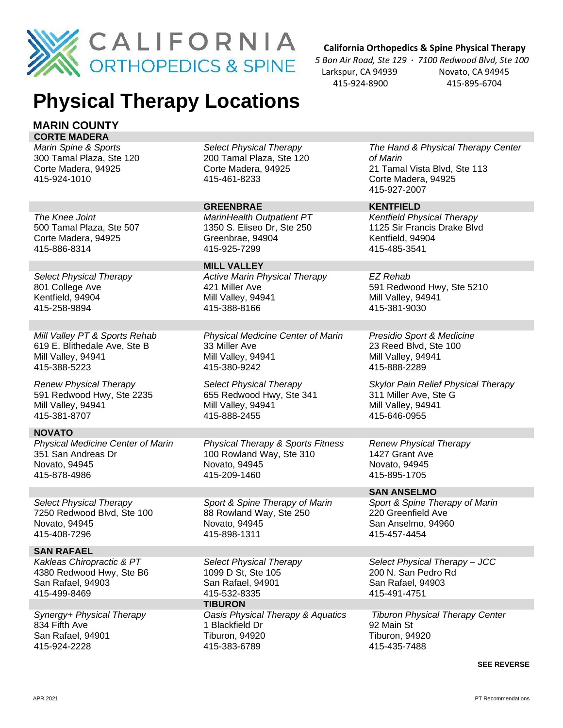

# **Physical Therapy Locations**

#### **MARIN COUNTY CORTE MADERA**

*Marin Spine & Sports* 300 Tamal Plaza, Ste 120 Corte Madera, 94925 415-924-1010

500 Tamal Plaza, Ste 507 Corte Madera, 94925

*Select Physical Therapy* 200 Tamal Plaza, Ste 120 Corte Madera, 94925 415-461-8233

#### **GREENBRAE KENTFIELD**

415-388-8166

*MarinHealth Outpatient PT* 1350 S. Eliseo Dr, Ste 250 Greenbrae, 94904 415-925-7299

**MILL VALLEY** *Active Marin Physical Therapy* 421 Miller Ave Mill Valley, 94941

*Physical Medicine Center of Marin* 33 Miller Ave Mill Valley, 94941 415-380-9242

*Select Physical Therapy* 655 Redwood Hwy, Ste 341 Mill Valley, 94941 415-888-2455

*Physical Therapy & Sports Fitness* 100 Rowland Way, Ste 310 Novato, 94945 415-209-1460

*Sport & Spine Therapy of Marin* 88 Rowland Way, Ste 250 Novato, 94945 415-898-1311

*Select Physical Therapy* 1099 D St, Ste 105 San Rafael, 94901 415-532-8335 **TIBURON** *Oasis Physical Therapy & Aquatics* 1 Blackfield Dr Tiburon, 94920 415-383-6789

 **California Orthopedics & Spine Physical Therapy**

 *5 Bon Air Road, Ste 129* **·** *7100 Redwood Blvd, Ste 100* Larkspur, CA 94939 Novato, CA 94945 415-924-8900 415-895-6704

> *The Hand & Physical Therapy Center of Marin* 21 Tamal Vista Blvd, Ste 113 Corte Madera, 94925 415-927-2007

*Kentfield Physical Therapy* 1125 Sir Francis Drake Blvd Kentfield, 94904 415-485-3541

*EZ Rehab* 591 Redwood Hwy, Ste 5210 Mill Valley, 94941 415-381-9030

*Presidio Sport & Medicine* 23 Reed Blvd, Ste 100 Mill Valley, 94941 415-888-2289

*Skylor Pain Relief Physical Therapy* 311 Miller Ave, Ste G Mill Valley, 94941 415-646-0955

*Renew Physical Therapy* 1427 Grant Ave Novato, 94945 415-895-1705

415-457-4454

**SAN ANSELMO** *Sport & Spine Therapy of Marin* 220 Greenfield Ave San Anselmo, 94960

*Select Physical Therapy – JCC*  200 N. San Pedro Rd San Rafael, 94903 415-491-4751

*Tiburon Physical Therapy Center* 92 Main St Tiburon, 94920 415-435-7488

**SEE REVERSE**

415-886-8314 *Select Physical Therapy*

801 College Ave Kentfield, 94904 415-258-9894

*The Knee Joint*

*Mill Valley PT & Sports Rehab* 619 E. Blithedale Ave, Ste B Mill Valley, 94941 415-388-5223

*Renew Physical Therapy* 591 Redwood Hwy, Ste 2235 Mill Valley, 94941 415-381-8707

### **NOVATO**

*Physical Medicine Center of Marin* 351 San Andreas Dr Novato, 94945 415-878-4986

*Select Physical Therapy* 7250 Redwood Blvd, Ste 100 Novato, 94945 415-408-7296

## **SAN RAFAEL**

*Kakleas Chiropractic & PT* 4380 Redwood Hwy, Ste B6 San Rafael, 94903 415-499-8469

*Synergy+ Physical Therapy* 834 Fifth Ave San Rafael, 94901 415-924-2228